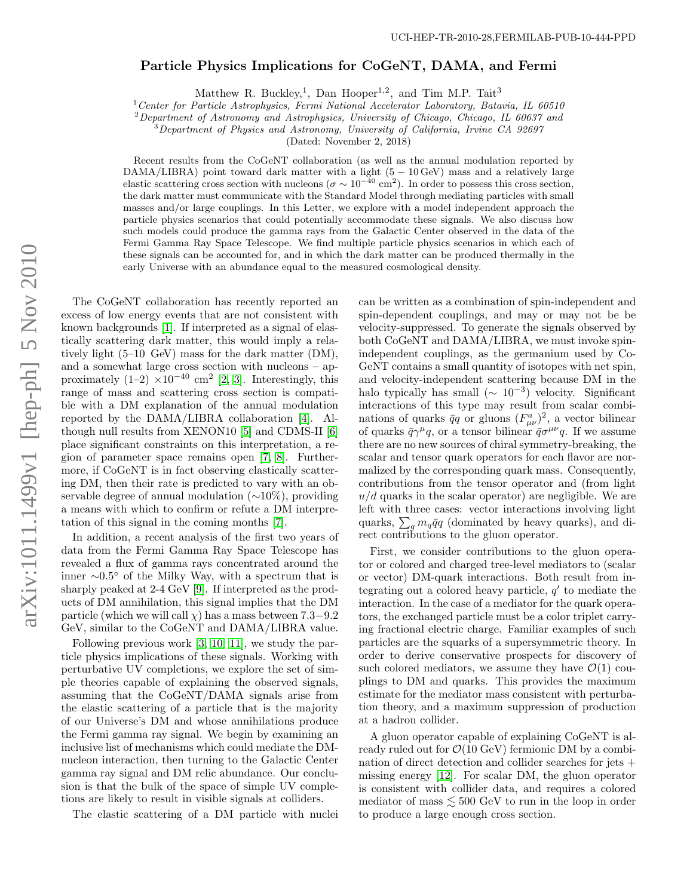## Particle Physics Implications for CoGeNT, DAMA, and Fermi

Matthew R. Buckley,<sup>1</sup>, Dan Hooper<sup>1,2</sup>, and Tim M.P. Tait<sup>3</sup>

<sup>1</sup> Center for Particle Astrophysics, Fermi National Accelerator Laboratory, Batavia, IL 60510

<sup>2</sup>Department of Astronomy and Astrophysics, University of Chicago, Chicago, IL 60637 and

<sup>3</sup>Department of Physics and Astronomy, University of California, Irvine CA 92697

(Dated: November 2, 2018)

Recent results from the CoGeNT collaboration (as well as the annual modulation reported by DAMA/LIBRA) point toward dark matter with a light  $(5 - 10 \,\text{GeV})$  mass and a relatively large elastic scattering cross section with nucleons ( $\sigma \sim 10^{-40}$  cm<sup>2</sup>). In order to possess this cross section, the dark matter must communicate with the Standard Model through mediating particles with small masses and/or large couplings. In this Letter, we explore with a model independent approach the particle physics scenarios that could potentially accommodate these signals. We also discuss how such models could produce the gamma rays from the Galactic Center observed in the data of the Fermi Gamma Ray Space Telescope. We find multiple particle physics scenarios in which each of these signals can be accounted for, and in which the dark matter can be produced thermally in the early Universe with an abundance equal to the measured cosmological density.

The CoGeNT collaboration has recently reported an excess of low energy events that are not consistent with known backgrounds [\[1\]](#page-3-0). If interpreted as a signal of elastically scattering dark matter, this would imply a relatively light (5–10 GeV) mass for the dark matter (DM), and a somewhat large cross section with nucleons – approximately  $(1-2) \times 10^{-40}$  cm<sup>2</sup> [\[2,](#page-3-1) [3\]](#page-3-2). Interestingly, this range of mass and scattering cross section is compatible with a DM explanation of the annual modulation reported by the DAMA/LIBRA collaboration [\[4\]](#page-3-3). Although null results from XENON10 [\[5\]](#page-3-4) and CDMS-II [\[6\]](#page-3-5) place significant constraints on this interpretation, a region of parameter space remains open [\[7,](#page-3-6) [8\]](#page-3-7). Furthermore, if CoGeNT is in fact observing elastically scattering DM, then their rate is predicted to vary with an observable degree of annual modulation (∼10%), providing a means with which to confirm or refute a DM interpretation of this signal in the coming months [\[7\]](#page-3-6).

In addition, a recent analysis of the first two years of data from the Fermi Gamma Ray Space Telescope has revealed a flux of gamma rays concentrated around the inner ∼0.5 ◦ of the Milky Way, with a spectrum that is sharply peaked at 2-4 GeV [\[9\]](#page-3-8). If interpreted as the products of DM annihilation, this signal implies that the DM particle (which we will call  $\chi$ ) has a mass between 7.3–9.2 GeV, similar to the CoGeNT and DAMA/LIBRA value.

Following previous work [\[3,](#page-3-2) [10,](#page-3-9) [11\]](#page-3-10), we study the particle physics implications of these signals. Working with perturbative UV completions, we explore the set of simple theories capable of explaining the observed signals, assuming that the CoGeNT/DAMA signals arise from the elastic scattering of a particle that is the majority of our Universe's DM and whose annihilations produce the Fermi gamma ray signal. We begin by examining an inclusive list of mechanisms which could mediate the DMnucleon interaction, then turning to the Galactic Center gamma ray signal and DM relic abundance. Our conclusion is that the bulk of the space of simple UV completions are likely to result in visible signals at colliders.

The elastic scattering of a DM particle with nuclei

can be written as a combination of spin-independent and spin-dependent couplings, and may or may not be be velocity-suppressed. To generate the signals observed by both CoGeNT and DAMA/LIBRA, we must invoke spinindependent couplings, as the germanium used by Co-GeNT contains a small quantity of isotopes with net spin, and velocity-independent scattering because DM in the halo typically has small  $(\sim 10^{-3})$  velocity. Significant interactions of this type may result from scalar combinations of quarks  $\bar{q}q$  or gluons  $(F_{\mu\nu}^a)^2$ , a vector bilinear of quarks  $\bar{q}\gamma^{\mu}q$ , or a tensor bilinear  $\bar{q}\sigma^{\mu\nu}q$ . If we assume there are no new sources of chiral symmetry-breaking, the scalar and tensor quark operators for each flavor are normalized by the corresponding quark mass. Consequently, contributions from the tensor operator and (from light  $u/d$  quarks in the scalar operator) are negligible. We are left with three cases: vector interactions involving light quarks,  $\sum_q m_q \bar{q}q$  (dominated by heavy quarks), and direct contributions to the gluon operator.

First, we consider contributions to the gluon operator or colored and charged tree-level mediators to (scalar or vector) DM-quark interactions. Both result from integrating out a colored heavy particle,  $q'$  to mediate the interaction. In the case of a mediator for the quark operators, the exchanged particle must be a color triplet carrying fractional electric charge. Familiar examples of such particles are the squarks of a supersymmetric theory. In order to derive conservative prospects for discovery of such colored mediators, we assume they have  $\mathcal{O}(1)$  couplings to DM and quarks. This provides the maximum estimate for the mediator mass consistent with perturbation theory, and a maximum suppression of production at a hadron collider.

A gluon operator capable of explaining CoGeNT is already ruled out for  $\mathcal{O}(10 \text{ GeV})$  fermionic DM by a combination of direct detection and collider searches for jets + missing energy [\[12\]](#page-3-11). For scalar DM, the gluon operator is consistent with collider data, and requires a colored mediator of mass  $\lesssim 500$  GeV to run in the loop in order to produce a large enough cross section.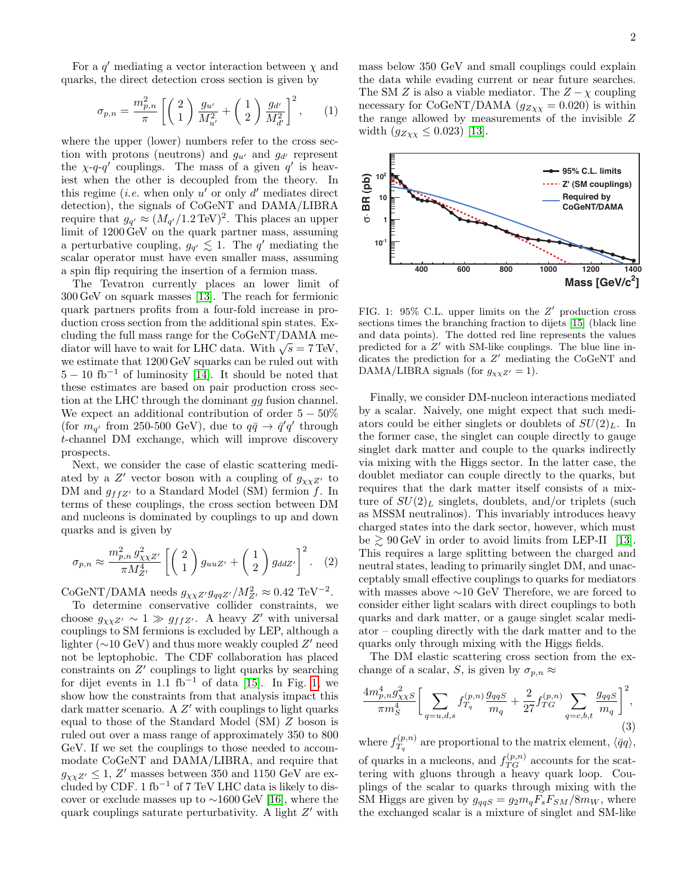For a  $q'$  mediating a vector interaction between  $\chi$  and quarks, the direct detection cross section is given by

$$
\sigma_{p,n} = \frac{m_{p,n}^2}{\pi} \left[ \left( \begin{array}{c} 2 \\ 1 \end{array} \right) \frac{g_{u'}}{M_{u'}^2} + \left( \begin{array}{c} 1 \\ 2 \end{array} \right) \frac{g_{d'}}{M_{d'}^2} \right]^2, \qquad (1)
$$

where the upper (lower) numbers refer to the cross section with protons (neutrons) and  $g_{u'}$  and  $g_{d'}$  represent the  $\chi$ -q-q' couplings. The mass of a given q' is heaviest when the other is decoupled from the theory. In this regime (*i.e.* when only  $u'$  or only  $d'$  mediates direct detection), the signals of CoGeNT and DAMA/LIBRA require that  $g_{q'} \approx (M_{q'}/1.2 \text{ TeV})^2$ . This places an upper limit of 1200 GeV on the quark partner mass, assuming a perturbative coupling,  $g_{q'} \lesssim 1$ . The q' mediating the scalar operator must have even smaller mass, assuming a spin flip requiring the insertion of a fermion mass.

The Tevatron currently places an lower limit of 300 GeV on squark masses [\[13\]](#page-3-12). The reach for fermionic quark partners profits from a four-fold increase in production cross section from the additional spin states. Excluding the full mass range for the CoGeNT/DAMA mecluding the full mass range for the CoGeN I/DAMA mediator will have to wait for LHC data. With  $\sqrt{s} = 7$  TeV, we estimate that 1200 GeV squarks can be ruled out with  $5 - 10$  fb<sup>-1</sup> of luminosity [\[14\]](#page-3-13). It should be noted that these estimates are based on pair production cross section at the LHC through the dominant gg fusion channel. We expect an additional contribution of order  $5 - 50\%$ (for  $m_{q'}$  from 250-500 GeV), due to  $q\bar{q} \to \bar{q}'q'$  through t-channel DM exchange, which will improve discovery prospects.

Next, we consider the case of elastic scattering mediated by a  $Z'$  vector boson with a coupling of  $g_{\chi\chi Z'}$  to DM and  $g_{ffZ'}$  to a Standard Model (SM) fermion f. In terms of these couplings, the cross section between DM and nucleons is dominated by couplings to up and down quarks and is given by

$$
\sigma_{p,n} \approx \frac{m_{p,n}^2 g_{\chi \chi Z'}^2}{\pi M_{Z'}^4} \left[ \begin{pmatrix} 2\\1 \end{pmatrix} g_{uuZ'} + \begin{pmatrix} 1\\2 \end{pmatrix} g_{ddZ'} \right]^2.
$$
 (2)

CoGeNT/DAMA needs  $g_{\chi\chi Z'} g_{qqZ'}/M_{Z'}^2 \approx 0.42 \text{ TeV}^{-2}$ .

To determine conservative collider constraints, we choose  $g_{\chi\chi Z'} \sim 1 \gg g_{ff Z'}$ . A heavy Z' with universal couplings to SM fermions is excluded by LEP, although a lighter ( $\sim$ 10 GeV) and thus more weakly coupled  $Z'$  need not be leptophobic. The CDF collaboration has placed constraints on  $Z'$  couplings to light quarks by searching for dijet events in 1.1 fb<sup>-1</sup> of data [\[15\]](#page-3-14). In Fig. [1,](#page-1-0) we show how the constraints from that analysis impact this dark matter scenario. A  $Z'$  with couplings to light quarks equal to those of the Standard Model (SM) Z boson is ruled out over a mass range of approximately 350 to 800 GeV. If we set the couplings to those needed to accommodate CoGeNT and DAMA/LIBRA, and require that  $g_{\chi\chi Z'} \leq 1, Z'$  masses between 350 and 1150 GeV are excluded by CDF. 1 fb<sup>-1</sup> of 7 TeV LHC data is likely to discover or exclude masses up to ∼1600 GeV [\[16\]](#page-3-15), where the quark couplings saturate perturbativity. A light  $Z'$  with

mass below 350 GeV and small couplings could explain the data while evading current or near future searches. The SM Z is also a viable mediator. The  $Z - \chi$  coupling necessary for CoGeNT/DAMA  $(g_{Z\chi\chi}=0.020)$  is within the range allowed by measurements of the invisible Z width  $(g_{Z\chi\chi} \leq 0.023)$  [\[13\]](#page-3-12).



<span id="page-1-0"></span>FIG. 1:  $95\%$  C.L. upper limits on the  $Z'$  production cross sections times the branching fraction to dijets [\[15\]](#page-3-14) (black line and data points). The dotted red line represents the values predicted for a  $Z'$  with SM-like couplings. The blue line indicates the prediction for a  $Z'$  mediating the CoGeNT and DAMA/LIBRA signals (for  $g_{\chi\chi Z'} = 1$ ).

Finally, we consider DM-nucleon interactions mediated by a scalar. Naively, one might expect that such mediators could be either singlets or doublets of  $SU(2)<sub>L</sub>$ . In the former case, the singlet can couple directly to gauge singlet dark matter and couple to the quarks indirectly via mixing with the Higgs sector. In the latter case, the doublet mediator can couple directly to the quarks, but requires that the dark matter itself consists of a mixture of  $SU(2)_L$  singlets, doublets, and/or triplets (such as MSSM neutralinos). This invariably introduces heavy charged states into the dark sector, however, which must be  $\geq 90$  GeV in order to avoid limits from LEP-II [\[13\]](#page-3-12). This requires a large splitting between the charged and neutral states, leading to primarily singlet DM, and unacceptably small effective couplings to quarks for mediators with masses above ∼10 GeV Therefore, we are forced to consider either light scalars with direct couplings to both quarks and dark matter, or a gauge singlet scalar mediator – coupling directly with the dark matter and to the quarks only through mixing with the Higgs fields.

The DM elastic scattering cross section from the exchange of a scalar, S, is given by  $\sigma_{p,n} \approx$ 

$$
\frac{4m_{p,n}^4 g_{\chi\chi S}^2}{\pi m_S^4} \bigg[ \sum_{q=u,d,s} f_{T_q}^{(p,n)} \frac{g_{qqS}}{m_q} + \frac{2}{27} f_{TG}^{(p,n)} \sum_{q=c,b,t} \frac{g_{qqS}}{m_q} \bigg]^2, \tag{3}
$$

where  $f_{T_{-}}^{(p,n)}$  $T_q^{(p,n)}$  are proportional to the matrix element,  $\langle \bar{q}q \rangle$ ,

of quarks in a nucleons, and  $f_{TG}^{(p,n)}$  accounts for the scattering with gluons through a heavy quark loop. Couplings of the scalar to quarks through mixing with the SM Higgs are given by  $g_{qqS} = g_2 m_q F_s F_{SM} / 8 m_W$ , where the exchanged scalar is a mixture of singlet and SM-like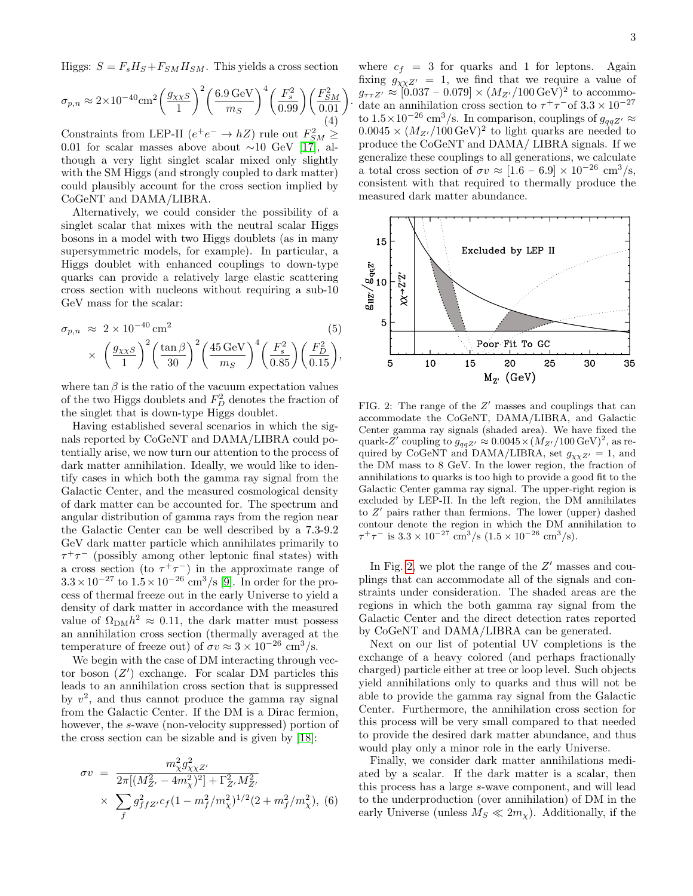Higgs:  $S = F_s H_S + F_{SM} H_{SM}$ . This yields a cross section

$$
\sigma_{p,n} \approx 2 \times 10^{-40} \text{cm}^2 \left(\frac{g_{\chi \chi S}}{1}\right)^2 \left(\frac{6.9 \text{ GeV}}{m_S}\right)^4 \left(\frac{F_s^2}{0.99}\right) \left(\frac{F_{SM}^2}{0.01}\right)
$$
\n(4)

.

Constraints from LEP-II  $(e^+e^- \rightarrow hZ)$  rule out  $F_{SM}^2 \geq$ 0.01 for scalar masses above about  $\sim$ 10 GeV [\[17\]](#page-3-16), although a very light singlet scalar mixed only slightly with the SM Higgs (and strongly coupled to dark matter) could plausibly account for the cross section implied by CoGeNT and DAMA/LIBRA.

Alternatively, we could consider the possibility of a singlet scalar that mixes with the neutral scalar Higgs bosons in a model with two Higgs doublets (as in many supersymmetric models, for example). In particular, a Higgs doublet with enhanced couplings to down-type quarks can provide a relatively large elastic scattering cross section with nucleons without requiring a sub-10 GeV mass for the scalar:

$$
\sigma_{p,n} \approx 2 \times 10^{-40} \text{ cm}^2
$$
\n
$$
\times \left(\frac{g_{\chi\chi S}}{1}\right)^2 \left(\frac{\tan\beta}{30}\right)^2 \left(\frac{45 \text{ GeV}}{m_S}\right)^4 \left(\frac{F_s^2}{0.85}\right) \left(\frac{F_D^2}{0.15}\right),
$$
\n(5)

where  $\tan \beta$  is the ratio of the vacuum expectation values of the two Higgs doublets and  $F_D^2$  denotes the fraction of the singlet that is down-type Higgs doublet.

Having established several scenarios in which the signals reported by CoGeNT and DAMA/LIBRA could potentially arise, we now turn our attention to the process of dark matter annihilation. Ideally, we would like to identify cases in which both the gamma ray signal from the Galactic Center, and the measured cosmological density of dark matter can be accounted for. The spectrum and angular distribution of gamma rays from the region near the Galactic Center can be well described by a 7.3-9.2 GeV dark matter particle which annihilates primarily to  $\tau^+\tau^-$  (possibly among other leptonic final states) with a cross section (to  $\tau^+\tau^-$ ) in the approximate range of  $3.3 \times 10^{-27}$  to  $1.5 \times 10^{-26}$  cm<sup>3</sup>/s [\[9\]](#page-3-8). In order for the process of thermal freeze out in the early Universe to yield a density of dark matter in accordance with the measured value of  $\Omega_{\text{DM}} h^2 \approx 0.11$ , the dark matter must possess an annihilation cross section (thermally averaged at the temperature of freeze out) of  $\sigma v \approx 3 \times 10^{-26}$  cm<sup>3</sup>/s.

We begin with the case of DM interacting through vector boson  $(Z')$  exchange. For scalar DM particles this leads to an annihilation cross section that is suppressed by  $v^2$ , and thus cannot produce the gamma ray signal from the Galactic Center. If the DM is a Dirac fermion, however, the s-wave (non-velocity suppressed) portion of the cross section can be sizable and is given by [\[18\]](#page-3-17):

$$
\sigma v = \frac{m_{\chi}^2 g_{\chi \chi Z'}^2}{2\pi [(M_{Z'}^2 - 4m_{\chi}^2)^2] + \Gamma_{Z'}^2 M_{Z'}^2}
$$
  
 
$$
\times \sum_f g_{ffZ'}^2 c_f (1 - m_f^2 / m_{\chi}^2)^{1/2} (2 + m_f^2 / m_{\chi}^2), (6)
$$

where  $c_f = 3$  for quarks and 1 for leptons. Again fixing  $g_{\chi\chi Z'} = 1$ , we find that we require a value of  $g_{\tau \tau Z'} \approx [0.037 - 0.079] \times (M_{Z'}/100 \,\text{GeV})^2$  to accommodate an annihilation cross section to  $\tau^+\tau^-$  of  $3.3 \times 10^{-27}$ to  $1.5 \times 10^{-26}$  cm<sup>3</sup>/s. In comparison, couplings of  $g_{qqZ'} \approx$  $0.0045 \times (M_{Z'}/100 \,\text{GeV})^2$  to light quarks are needed to produce the CoGeNT and DAMA/ LIBRA signals. If we generalize these couplings to all generations, we calculate a total cross section of  $\sigma v \approx [1.6 - 6.9] \times 10^{-26}$  cm<sup>3</sup>/s, consistent with that required to thermally produce the measured dark matter abundance.



<span id="page-2-0"></span>FIG. 2: The range of the  $Z'$  masses and couplings that can accommodate the CoGeNT, DAMA/LIBRA, and Galactic Center gamma ray signals (shaded area). We have fixed the quark-Z' coupling to  $g_{qqZ'} \approx 0.0045 \times (M_{Z'}/100 \,\text{GeV})^2$ , as required by CoGeNT and DAMA/LIBRA, set  $g_{\chi\chi Z'}=1$ , and the DM mass to 8 GeV. In the lower region, the fraction of annihilations to quarks is too high to provide a good fit to the Galactic Center gamma ray signal. The upper-right region is excluded by LEP-II. In the left region, the DM annihilates to  $Z'$  pairs rather than fermions. The lower (upper) dashed contour denote the region in which the DM annihilation to  $\tau^+\tau^-$  is  $3.3 \times 10^{-27}$  cm<sup>3</sup>/s  $(1.5 \times 10^{-26}$  cm<sup>3</sup>/s).

In Fig. [2,](#page-2-0) we plot the range of the  $Z'$  masses and couplings that can accommodate all of the signals and constraints under consideration. The shaded areas are the regions in which the both gamma ray signal from the Galactic Center and the direct detection rates reported by CoGeNT and DAMA/LIBRA can be generated.

Next on our list of potential UV completions is the exchange of a heavy colored (and perhaps fractionally charged) particle either at tree or loop level. Such objects yield annihilations only to quarks and thus will not be able to provide the gamma ray signal from the Galactic Center. Furthermore, the annihilation cross section for this process will be very small compared to that needed to provide the desired dark matter abundance, and thus would play only a minor role in the early Universe.

Finally, we consider dark matter annihilations mediated by a scalar. If the dark matter is a scalar, then this process has a large s-wave component, and will lead to the underproduction (over annihilation) of DM in the early Universe (unless  $M_S \ll 2m_\chi$ ). Additionally, if the